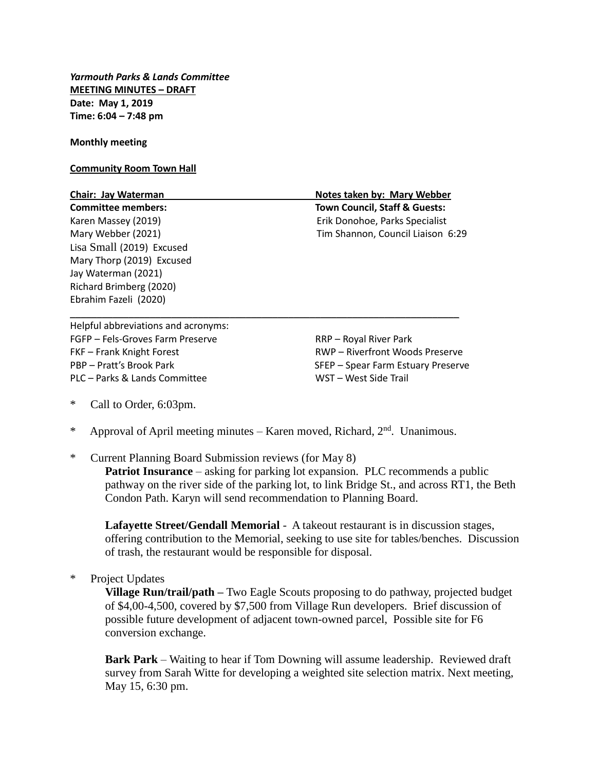*Yarmouth Parks & Lands Committee* **MEETING MINUTES – DRAFT Date: May 1, 2019 Time: 6:04 – 7:48 pm**

**Monthly meeting**

**Community Room Town Hall**

| Chair: Jay Waterman                 | Notes taken by: Mary Webber              |
|-------------------------------------|------------------------------------------|
| <b>Committee members:</b>           | <b>Town Council, Staff &amp; Guests:</b> |
| Karen Massey (2019)                 | Erik Donohoe, Parks Specialist           |
| Mary Webber (2021)                  | Tim Shannon, Council Liaison 6:29        |
| Lisa Small (2019) Excused           |                                          |
| Mary Thorp (2019) Excused           |                                          |
| Jay Waterman (2021)                 |                                          |
| Richard Brimberg (2020)             |                                          |
| Ebrahim Fazeli (2020)               |                                          |
| Helpful abbreviations and acronyms: |                                          |

Helpful abbreviations and acronyms: FGFP – Fels-Groves Farm Preserve The RRP – Royal River Park FKF – Frank Knight Forest RWP – Riverfront Woods Preserve PBP – Pratt's Brook Park SFEP – Spear Farm Estuary Preserve PLC – Parks & Lands Committee WST – West Side Trail

- \* Call to Order, 6:03pm.
- \* Approval of April meeting minutes Karen moved, Richard,  $2<sup>nd</sup>$ . Unanimous.
- \* Current Planning Board Submission reviews (for May 8)

**Patriot Insurance** – asking for parking lot expansion. PLC recommends a public pathway on the river side of the parking lot, to link Bridge St., and across RT1, the Beth Condon Path. Karyn will send recommendation to Planning Board.

**Lafayette Street/Gendall Memorial** - A takeout restaurant is in discussion stages, offering contribution to the Memorial, seeking to use site for tables/benches. Discussion of trash, the restaurant would be responsible for disposal.

\* Project Updates

**Village Run/trail/path –** Two Eagle Scouts proposing to do pathway, projected budget of \$4,00-4,500, covered by \$7,500 from Village Run developers. Brief discussion of possible future development of adjacent town-owned parcel, Possible site for F6 conversion exchange.

**Bark Park** – Waiting to hear if Tom Downing will assume leadership. Reviewed draft survey from Sarah Witte for developing a weighted site selection matrix. Next meeting, May 15, 6:30 pm.